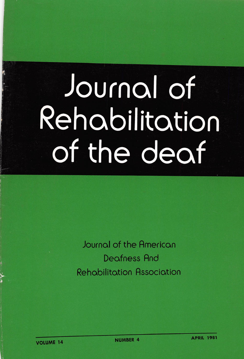# Journal of Rehabilitation of the deaf

Journal of the Rmerican Deafness Rnd Rehabilitation Rssociation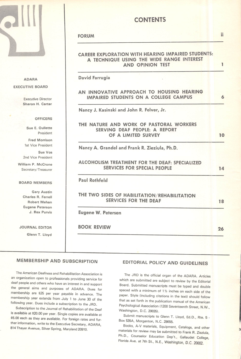# **CONTENTS**

| <b>CAREER EXPLORATION WITH HEARING IMPAIRED STUDENTS:</b><br>A TECHNIQUE USING THE WIDE RANGE INTEREST |
|--------------------------------------------------------------------------------------------------------|
| <b>AND OPINION TEST</b>                                                                                |

Nancy J. Kasinski and John R. Felver, Jr.

AN INNOVATIVE APPROACH TO HOUSING HEARING IMPAIRED STUDENTS ON A COLLEGE CAMPUS

THE NATURE AND WORK OF PASTORAL WORKERS SERVING DEAF PEOPLE: A REPORT OF A LIMITED SURVEY

Executive Director Sharon H. Carter

ADARA EXECUTIVE BOARD

### **OFFICERS**

Sue E. Oullette President

Fred Morrison 1st Vice President

Sue Vos 2nd Vice President

William P. McCrone Secretary/Treasurer

### BOARD MEMBERS

Gary Austin Charles R. Ferrell Robert Mehan Eugene Peterson J. Rex Purvis

JOURNAL EDITOR

Glenn T. Lloyd

## MEMBERSHIP AND SUBSCRIPTION

The American Deafness and Rehabilitation Association is an organization open to professionals providing service for deaf people and others who have an interest in and support the general aims and purposes of ADARA. Dues for membership are \$25 per year payable in advance. The membership year extends from July 1 to June 30 of the following year. Dues include a subscription to the JRD.

Subscription to the Journal of Rehabilitation of the Deaf is available at \$20.00 per year. Single copies are available at \$5.00 each as they are available. For foreign rates and fur ther information, write to the Executive Secretary, ADARA, 814Thayer Avenue, Silver Spring, Maryland 20910.

## EDITORIAL POLICY AND GUIDELINES

The JRD is the official organ of the ADARA. Articles which are submitted are subject to review by the Editorial Board. Submitted manuscripts must be typed and double spaced with a minimum of  $1\frac{1}{2}$  inches on each side of the paper. Style (including citations in the text) should follow that as set forth in the publication manual of the American Psychological Association (1200 Seventeenth Street, N.W., Washington, D.C. 20035).

Submit manuscripts to Glenn T. Lloyd, Ed.D., Rte. 5 - Box 535A, Morganton, N.C. 28655.

Books, A-V materials. Equipment, Catalogs, and other materials for review may be submitted to Frank R. Zieziula, Ph.D., Counselor Education Dep't., Gallaudet College, Florida Ave. at 7th St., N.E., Washington, D.C. 20002.

ii

1

6

10

| Nancy A. Grandel and Frank R. Zieziula, Ph.D.                                        |    |
|--------------------------------------------------------------------------------------|----|
| ALCOHOLISM TREATMENT FOR THE DEAF: SPECIALIZED<br><b>SERVICES FOR SPECIAL PEOPLE</b> | 14 |
| <b>Paul Rothfeld</b>                                                                 |    |
| THE TWO SIDES OF HABILITATION/REHABILITATION<br><b>SERVICES FOR THE DEAF</b>         | 18 |
| Eugene W. Petersen                                                                   |    |
| <b>BOOK REVIEW</b>                                                                   | 26 |
|                                                                                      |    |